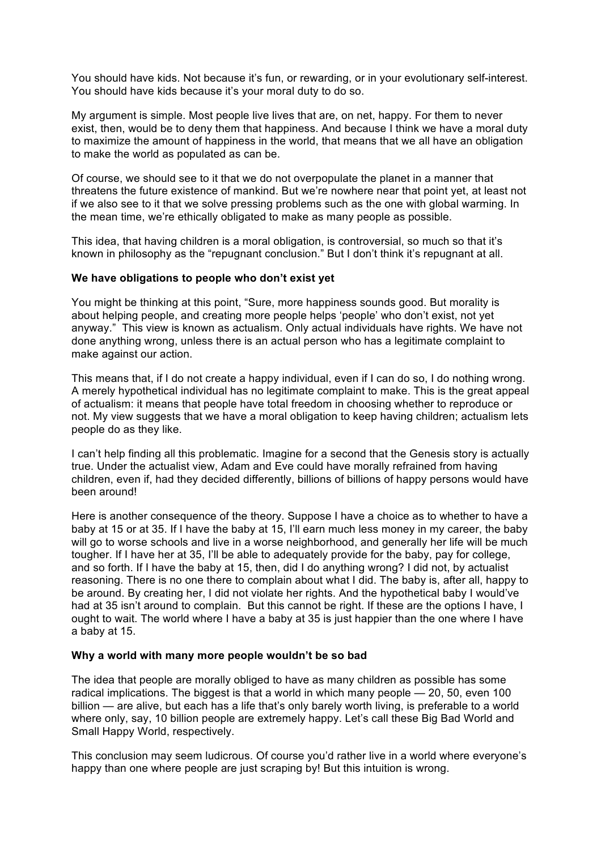You should have kids. Not because it's fun, or rewarding, or in your evolutionary self-interest. You should have kids because it's your moral duty to do so.

My argument is simple. Most people live lives that are, on net, happy. For them to never exist, then, would be to deny them that happiness. And because I think we have a moral duty to maximize the amount of happiness in the world, that means that we all have an obligation to make the world as populated as can be.

Of course, we should see to it that we do not overpopulate the planet in a manner that threatens the future existence of mankind. But we're nowhere near that point yet, at least not if we also see to it that we solve pressing problems such as the one with global warming. In the mean time, we're ethically obligated to make as many people as possible.

This idea, that having children is a moral obligation, is controversial, so much so that it's known in philosophy as the "repugnant conclusion." But I don't think it's repugnant at all.

## **We have obligations to people who don't exist yet**

You might be thinking at this point, "Sure, more happiness sounds good. But morality is about helping people, and creating more people helps 'people' who don't exist, not yet anyway." This view is known as actualism. Only actual individuals have rights. We have not done anything wrong, unless there is an actual person who has a legitimate complaint to make against our action.

This means that, if I do not create a happy individual, even if I can do so, I do nothing wrong. A merely hypothetical individual has no legitimate complaint to make. This is the great appeal of actualism: it means that people have total freedom in choosing whether to reproduce or not. My view suggests that we have a moral obligation to keep having children; actualism lets people do as they like.

I can't help finding all this problematic. Imagine for a second that the Genesis story is actually true. Under the actualist view, Adam and Eve could have morally refrained from having children, even if, had they decided differently, billions of billions of happy persons would have been around!

Here is another consequence of the theory. Suppose I have a choice as to whether to have a baby at 15 or at 35. If I have the baby at 15, I'll earn much less money in my career, the baby will go to worse schools and live in a worse neighborhood, and generally her life will be much tougher. If I have her at 35, I'll be able to adequately provide for the baby, pay for college, and so forth. If I have the baby at 15, then, did I do anything wrong? I did not, by actualist reasoning. There is no one there to complain about what I did. The baby is, after all, happy to be around. By creating her, I did not violate her rights. And the hypothetical baby I would've had at 35 isn't around to complain. But this cannot be right. If these are the options I have, I ought to wait. The world where I have a baby at 35 is just happier than the one where I have a baby at 15.

## **Why a world with many more people wouldn't be so bad**

The idea that people are morally obliged to have as many children as possible has some radical implications. The biggest is that a world in which many people — 20, 50, even 100 billion — are alive, but each has a life that's only barely worth living, is preferable to a world where only, say, 10 billion people are extremely happy. Let's call these Big Bad World and Small Happy World, respectively.

This conclusion may seem ludicrous. Of course you'd rather live in a world where everyone's happy than one where people are just scraping by! But this intuition is wrong.